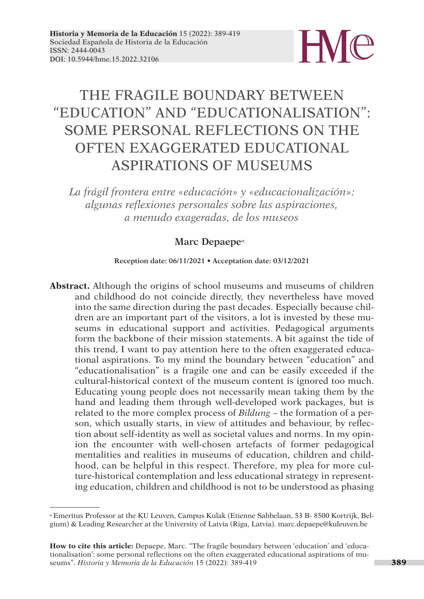

# THE FRAGILE BOUNDARY BETWEEN "EDUCATION" AND "EDUCATIONALISATION": SOME PERSONAL REFLECTIONS ON THE OFTEN EXAGGERATED EDUCATIONAL ASPIRATIONS OF MUSEUMS

*La frágil frontera entre «educación» y «educacionalización»: algunas reflexiones personales sobre las aspiraciones, a menudo exageradas, de los museos*

### Marc Depaepe<sup>a</sup>

**Reception date: 06/11/2021 • Acceptation date: 03/12/2021**

**Abstract.** Although the origins of school museums and museums of children and childhood do not coincide directly, they nevertheless have moved into the same direction during the past decades. Especially because children are an important part of the visitors, a lot is invested by these museums in educational support and activities. Pedagogical arguments form the backbone of their mission statements. A bit against the tide of this trend, I want to pay attention here to the often exaggerated educational aspirations. To my mind the boundary between "education" and "educationalisation" is a fragile one and can be easily exceeded if the cultural-historical context of the museum content is ignored too much. Educating young people does not necessarily mean taking them by the hand and leading them through well-developed work packages, but is related to the more complex process of *Bildung* – the formation of a person, which usually starts, in view of attitudes and behaviour, by reflection about self-identity as well as societal values and norms. In my opinion the encounter with well-chosen artefacts of former pedagogical mentalities and realities in museums of education, children and childhood, can be helpful in this respect. Therefore, my plea for more culture-historical contemplation and less educational strategy in representing education, children and childhood is not to be understood as phasing

a Emeritus Professor at the KU Leuven, Campus Kulak (Etienne Sabbelaan, 53 B- 8500 Kortrijk, Belgium) & Leading Researcher at the University of Latvia (Riga, Latvia). marc.depaepe@kuleuven.be

**How to cite this article:** Depaepe, Marc. "The fragile boundary between 'education' and 'educationalisation': some personal reflections on the often exaggerated educational aspirations of museums". *Historia y Memoria de la Educación* 15 (2022): 389-419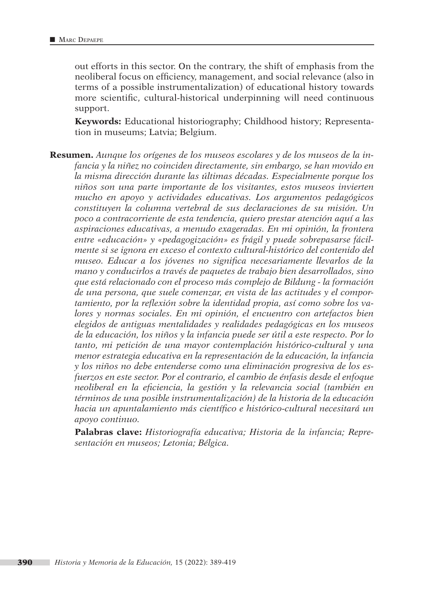out efforts in this sector. On the contrary, the shift of emphasis from the neoliberal focus on efficiency, management, and social relevance (also in terms of a possible instrumentalization) of educational history towards more scientific, cultural-historical underpinning will need continuous support.

**Keywords:** Educational historiography; Childhood history; Representation in museums; Latvia; Belgium.

**Resumen.** *Aunque los orígenes de los museos escolares y de los museos de la infancia y la niñez no coinciden directamente, sin embargo, se han movido en la misma dirección durante las últimas décadas. Especialmente porque los niños son una parte importante de los visitantes, estos museos invierten mucho en apoyo y actividades educativas. Los argumentos pedagógicos constituyen la columna vertebral de sus declaraciones de su misión. Un poco a contracorriente de esta tendencia, quiero prestar atención aquí a las aspiraciones educativas, a menudo exageradas. En mi opinión, la frontera entre «educación» y «pedagogización» es frágil y puede sobrepasarse fácilmente si se ignora en exceso el contexto cultural-histórico del contenido del museo. Educar a los jóvenes no significa necesariamente llevarlos de la mano y conducirlos a través de paquetes de trabajo bien desarrollados, sino que está relacionado con el proceso más complejo de Bildung - la formación de una persona, que suele comenzar, en vista de las actitudes y el comportamiento, por la reflexión sobre la identidad propia, así como sobre los valores y normas sociales. En mi opinión, el encuentro con artefactos bien elegidos de antiguas mentalidades y realidades pedagógicas en los museos de la educación, los niños y la infancia puede ser útil a este respecto. Por lo tanto, mi petición de una mayor contemplación histórico-cultural y una menor estrategia educativa en la representación de la educación, la infancia y los niños no debe entenderse como una eliminación progresiva de los esfuerzos en este sector. Por el contrario, el cambio de énfasis desde el enfoque neoliberal en la eficiencia, la gestión y la relevancia social (también en términos de una posible instrumentalización) de la historia de la educación hacia un apuntalamiento más científico e histórico-cultural necesitará un apoyo continuo.*

**Palabras clave:** *Historiografía educativa; Historia de la infancia; Representación en museos; Letonia; Bélgica.*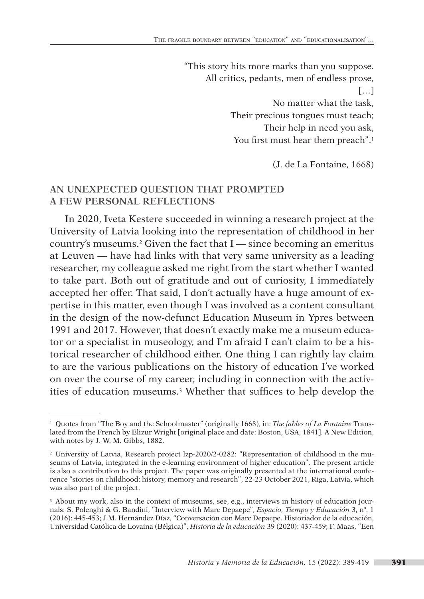"This story hits more marks than you suppose. All critics, pedants, men of endless prose,  $\lceil$ ... No matter what the task, Their precious tongues must teach; Their help in need you ask, You first must hear them preach".<sup>1</sup>

(J. de La Fontaine, 1668)

### **AN UNEXPECTED QUESTION THAT PROMPTED A FEW PERSONAL REFLECTIONS**

In 2020, Iveta Kestere succeeded in winning a research project at the University of Latvia looking into the representation of childhood in her country's museums.<sup>2</sup> Given the fact that  $I$  — since becoming an emeritus at Leuven — have had links with that very same university as a leading researcher, my colleague asked me right from the start whether I wanted to take part. Both out of gratitude and out of curiosity, I immediately accepted her offer. That said, I don't actually have a huge amount of expertise in this matter, even though I was involved as a content consultant in the design of the now-defunct Education Museum in Ypres between 1991 and 2017. However, that doesn't exactly make me a museum educator or a specialist in museology, and I'm afraid I can't claim to be a historical researcher of childhood either. One thing I can rightly lay claim to are the various publications on the history of education I've worked on over the course of my career, including in connection with the activities of education museums.3 Whether that suffices to help develop the

<sup>1</sup> Quotes from "The Boy and the Schoolmaster" (originally 1668), in: *The fables of La Fontaine* Translated from the French by Elizur Wright [original place and date: Boston, USA, 1841]. A New Edition, with notes by J. W. M. Gibbs, 1882.

<sup>2</sup> University of Latvia, Research project lzp-2020/2-0282: "Representation of childhood in the museums of Latvia, integrated in the e-learning environment of higher education". The present article is also a contribution to this project. The paper was originally presented at the international conference "stories on childhood: history, memory and research", 22-23 October 2021, Riga, Latvia, which was also part of the project.

<sup>&</sup>lt;sup>3</sup> About my work, also in the context of museums, see, e.g., interviews in history of education journals: S. Polenghi & G. Bandini, "Interview with Marc Depaepe", *Espacio, Tiempo y Educación* 3, nº. 1 (2016): 445-453; J.M. Hernández Díaz, "Conversación con Marc Depaepe. Historiador de la educación, Universidad Católica de Lovaina (Bélgica)", *Historia de la educación* 39 (2020): 437-459; F. Maas, "Een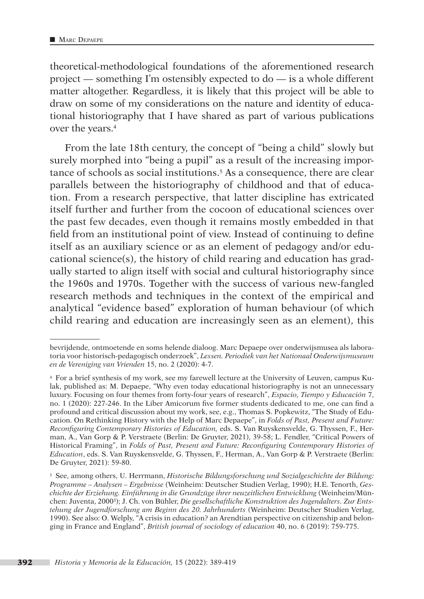theoretical-methodological foundations of the aforementioned research project — something I'm ostensibly expected to do — is a whole different matter altogether. Regardless, it is likely that this project will be able to draw on some of my considerations on the nature and identity of educational historiography that I have shared as part of various publications over the years.4

From the late 18th century, the concept of "being a child" slowly but surely morphed into "being a pupil" as a result of the increasing importance of schools as social institutions.5 As a consequence, there are clear parallels between the historiography of childhood and that of education. From a research perspective, that latter discipline has extricated itself further and further from the cocoon of educational sciences over the past few decades, even though it remains mostly embedded in that field from an institutional point of view. Instead of continuing to define itself as an auxiliary science or as an element of pedagogy and/or educational science(s), the history of child rearing and education has gradually started to align itself with social and cultural historiography since the 1960s and 1970s. Together with the success of various new-fangled research methods and techniques in the context of the empirical and analytical "evidence based" exploration of human behaviour (of which child rearing and education are increasingly seen as an element), this

bevrijdende, ontmoetende en soms helende dialoog. Marc Depaepe over onderwijsmusea als laboratoria voor historisch-pedagogisch onderzoek", *Lessen. Periodiek van het Nationaal Onderwijsmuseum en de Vereniging van Vrienden* 15, no. 2 (2020): 4-7.

<sup>4</sup> For a brief synthesis of my work, see my farewell lecture at the University of Leuven, campus Kulak, published as: M. Depaepe, "Why even today educational historiography is not an unnecessary luxury. Focusing on four themes from forty-four years of research", *Espacio, Tiempo y Educación* 7, no. 1 (2020): 227-246. In the Liber Amicorum five former students dedicated to me, one can find a profound and critical discussion about my work, see, e.g., Thomas S. Popkewitz, "The Study of Education. On Rethinking History with the Help of Marc Depaepe", in *Folds of Past, Present and Future: Reconfiguring Contemporary Histories of Education,* eds. S. Van Ruyskensvelde, G. Thyssen, F., Herman, A., Van Gorp & P. Verstraete (Berlin: De Gruyter, 2021), 39-58; L. Fendler, "Critical Powers of Historical Framing", in *Folds of Past, Present and Future: Reconfiguring Contemporary Histories of Education*, eds. S. Van Ruyskensvelde, G. Thyssen, F., Herman, A., Van Gorp & P. Verstraete (Berlin: De Gruyter, 2021): 59-80.

<sup>5</sup> See, among others, U. Herrmann, *Historische Bildungsforschung und Sozialgeschichte der Bildung: Programme – Analysen – Ergebnisse* (Weinheim: Deutscher Studien Verlag, 1990); H.E. Tenorth, *Geschichte der Erziehung. Einführung in die Grundzüge ihrer neuzeitlichen Entwicklung* (Weinheim/München: Juventa, 2000³); J. Ch. von Bühler, *Die gesellschaftliche Konstruktion des Jugendalters. Zur Entstehung der Jugendforschung am Beginn des 20. Jahrhunderts* (Weinheim: Deutscher Studien Verlag, 1990). See also: O. Welply, "A crisis in education? an Arendtian perspective on citizenship and belonging in France and England", *British journal of sociology of education* 40, no. 6 (2019): 759-775.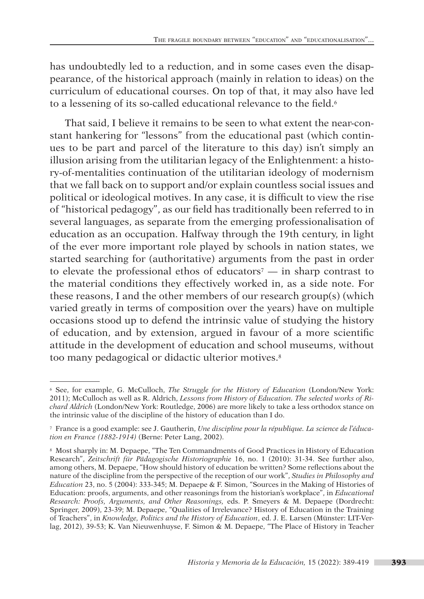has undoubtedly led to a reduction, and in some cases even the disappearance, of the historical approach (mainly in relation to ideas) on the curriculum of educational courses. On top of that, it may also have led to a lessening of its so-called educational relevance to the field.<sup>6</sup>

That said, I believe it remains to be seen to what extent the near-constant hankering for "lessons" from the educational past (which continues to be part and parcel of the literature to this day) isn't simply an illusion arising from the utilitarian legacy of the Enlightenment: a history-of-mentalities continuation of the utilitarian ideology of modernism that we fall back on to support and/or explain countless social issues and political or ideological motives. In any case, it is difficult to view the rise of "historical pedagogy", as our field has traditionally been referred to in several languages, as separate from the emerging professionalisation of education as an occupation. Halfway through the 19th century, in light of the ever more important role played by schools in nation states, we started searching for (authoritative) arguments from the past in order to elevate the professional ethos of educators<sup> $7$ </sup> — in sharp contrast to the material conditions they effectively worked in, as a side note. For these reasons, I and the other members of our research group(s) (which varied greatly in terms of composition over the years) have on multiple occasions stood up to defend the intrinsic value of studying the history of education, and by extension, argued in favour of a more scientific attitude in the development of education and school museums, without too many pedagogical or didactic ulterior motives.8

<sup>6</sup> See, for example, G. McCulloch, *The Struggle for the History of Education* (London/New York: 2011); McCulloch as well as R. Aldrich, *Lessons from History of Education. The selected works of Richard Aldrich* (London/New York: Routledge, 2006) are more likely to take a less orthodox stance on the intrinsic value of the discipline of the history of education than I do.

<sup>7</sup> France is a good example: see J. Gautherin, *Une discipline pour la république. La science de l'éducation en France (1882-1914)* (Berne: Peter Lang, 2002).

<sup>8</sup> Most sharply in: M. Depaepe, "The Ten Commandments of Good Practices in History of Education Research", *Zeitschrift für Pädagogische Historiographie* 16, no. 1 (2010): 31-34. See further also, among others, M. Depaepe, "How should history of education be written? Some reflections about the nature of the discipline from the perspective of the reception of our work", *Studies in Philosophy and Education* 23, no. 5 (2004): 333-345; M. Depaepe & F. Simon, "Sources in the Making of Histories of Education: proofs, arguments, and other reasonings from the historian's workplace", in *Educational Research: Proofs, Arguments, and Other Reasonings,* eds. P. Smeyers & M. Depaepe (Dordrecht: Springer, 2009), 23-39; M. Depaepe, "Qualities of Irrelevance? History of Education in the Training of Teachers", in *Knowledge, Politics and the History of Education*, ed. J. E. Larsen (Münster: LIT-Verlag, 2012), 39-53; K. Van Nieuwenhuyse, F. Simon & M. Depaepe, "The Place of History in Teacher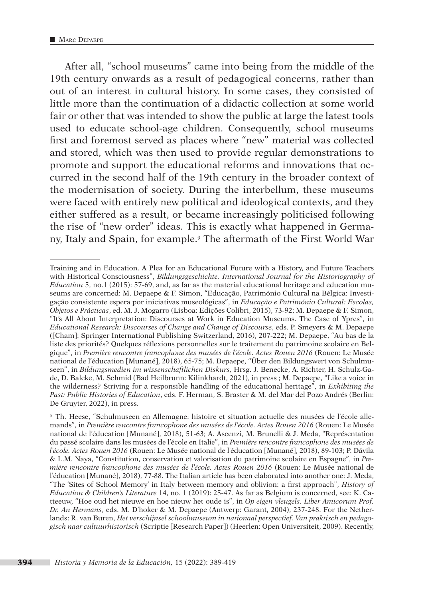After all, "school museums" came into being from the middle of the 19th century onwards as a result of pedagogical concerns, rather than out of an interest in cultural history. In some cases, they consisted of little more than the continuation of a didactic collection at some world fair or other that was intended to show the public at large the latest tools used to educate school-age children. Consequently, school museums first and foremost served as places where "new" material was collected and stored, which was then used to provide regular demonstrations to promote and support the educational reforms and innovations that occurred in the second half of the 19th century in the broader context of the modernisation of society. During the interbellum, these museums were faced with entirely new political and ideological contexts, and they either suffered as a result, or became increasingly politicised following the rise of "new order" ideas. This is exactly what happened in Germany, Italy and Spain, for example.9 The aftermath of the First World War

Training and in Education. A Plea for an Educational Future with a History, and Future Teachers with Historical Consciousness", *Bildungsgeschichte. International Journal for the Historiography of Education* 5, no.1 (2015): 57-69, and, as far as the material educational heritage and education museums are concerned: M. Depaepe & F. Simon, "Educação, Património Cultural na Bélgica: Investigação consistente espera por iniciativas museológicas", in *Educação e Património Cultural: Escolas, Objetos e Prácticas*, ed. M. J. Mogarro (Lisboa: Edições Colibri, 2015), 73-92; M. Depaepe & F. Simon, "It's All About Interpretation: Discourses at Work in Education Museums. The Case of Ypres", in *Educational Research: Discourses of Change and Change of Discourse*, eds. P. Smeyers & M. Depaepe ([Cham]: Springer International Publishing Switzerland, 2016), 207-222; M. Depaepe, "Au bas de la liste des priorités? Quelques réflexions personnelles sur le traitement du patrimoine scolaire en Belgique", in *Première rencontre francophone des musées de l'école. Actes Rouen 2016* (Rouen: Le Musée national de l'éducation [Munané], 2018), 65-75; M. Depaepe, "Über den Bildungswert von Schulmuseen", in *Bildungsmedien im wissenschaftlichen Diskurs,* Hrsg. J. Benecke, A. Richter, H. Schulz-Gade, D. Balcke, M. Schmid (Bad Heilbrunn: Kilinkhardt, 2021), in press ; M. Depaepe, "Like a voice in the wilderness? Striving for a responsible handling of the educational heritage", in *Exhibiting the Past: Public Histories of Education*, eds. F. Herman, S. Braster & M. del Mar del Pozo Andrés (Berlin: De Gruyter, 2022), in press.

<sup>9</sup> Th. Heese, "Schulmuseen en Allemagne: histoire et situation actuelle des musées de l'école allemands", in *Première rencontre francophone des musées de l'école. Actes Rouen 2016* (Rouen: Le Musée national de l'éducation [Munané], 2018), 51-63; A. Ascenzi, M. Brunelli & J. Meda, "Représentation du passé scolaire dans les musées de l'école en Italie", in *Première rencontre francophone des musées de l'école. Actes Rouen 2016* (Rouen: Le Musée national de l'éducation [Munané], 2018), 89-103; P. Dávila & L.M. Naya, "Constitution, conservation et valorisation du patrimoine scolaire en Espagne", in *Première rencontre francophone des musées de l'école. Actes Rouen 2016* (Rouen: Le Musée national de l'éducation [Munané], 2018), 77-88. The Italian article has been elaborated into another one: J. Meda, "The 'Sites of School Memory' in Italy between memory and oblivion: a first approach", *History of Education & Children's Literature* 14, no. 1 (2019): 25-47. As far as Belgium is concerned, see: K. Catteeuw, "Hoe oud het nieuwe en hoe nieuw het oude is", in *Op eigen vleugels. Liber Amicorum Prof. Dr. An Hermans*, eds. M. D'hoker & M. Depaepe (Antwerp: Garant, 2004), 237-248. For the Netherlands: R. van Buren, *Het verschijnsel schoolmuseum in nationaal perspectief. Van praktisch en pedagogisch naar cultuurhistorisch* (Scriptie [Research Paper]) (Heerlen: Open Universiteit, 2009). Recently,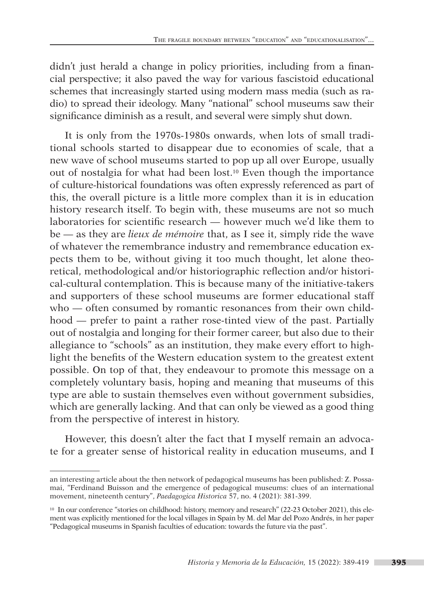didn't just herald a change in policy priorities, including from a financial perspective; it also paved the way for various fascistoid educational schemes that increasingly started using modern mass media (such as radio) to spread their ideology. Many "national" school museums saw their significance diminish as a result, and several were simply shut down.

It is only from the 1970s-1980s onwards, when lots of small traditional schools started to disappear due to economies of scale, that a new wave of school museums started to pop up all over Europe, usually out of nostalgia for what had been lost.10 Even though the importance of culture-historical foundations was often expressly referenced as part of this, the overall picture is a little more complex than it is in education history research itself. To begin with, these museums are not so much laboratories for scientific research — however much we'd like them to be — as they are *lieux de mémoire* that, as I see it, simply ride the wave of whatever the remembrance industry and remembrance education expects them to be, without giving it too much thought, let alone theoretical, methodological and/or historiographic reflection and/or historical-cultural contemplation. This is because many of the initiative-takers and supporters of these school museums are former educational staff who — often consumed by romantic resonances from their own childhood — prefer to paint a rather rose-tinted view of the past. Partially out of nostalgia and longing for their former career, but also due to their allegiance to "schools" as an institution, they make every effort to highlight the benefits of the Western education system to the greatest extent possible. On top of that, they endeavour to promote this message on a completely voluntary basis, hoping and meaning that museums of this type are able to sustain themselves even without government subsidies, which are generally lacking. And that can only be viewed as a good thing from the perspective of interest in history.

However, this doesn't alter the fact that I myself remain an advoca te for a greater sense of historical reality in education museums, and I

an interesting article about the then network of pedagogical museums has been published: Z. Possamai, "Ferdinand Buisson and the emergence of pedagogical museums: clues of an international movement, nineteenth century", *Paedagogica Historica* 57, no. 4 (2021): 381-399.

<sup>10</sup> In our conference "stories on childhood: history, memory and research" (22-23 October 2021), this element was explicitly mentioned for the local villages in Spain by M. del Mar del Pozo Andrés, in her paper "Pedagogical museums in Spanish faculties of education: towards the future via the past".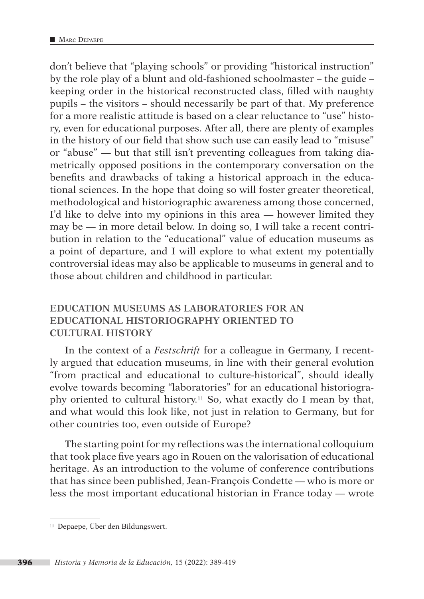don't believe that "playing schools" or providing "historical instruction" by the role play of a blunt and old-fashioned schoolmaster – the guide – keeping order in the historical reconstructed class, filled with naughty pupils – the visitors – should necessarily be part of that. My preference for a more realistic attitude is based on a clear reluctance to "use" history, even for educational purposes. After all, there are plenty of examples in the history of our field that show such use can easily lead to "misuse" or "abuse" — but that still isn't preventing colleagues from taking diametrically opposed positions in the contemporary conversation on the benefits and drawbacks of taking a historical approach in the educational sciences. In the hope that doing so will foster greater theoretical, methodological and historiographic awareness among those concerned, I'd like to delve into my opinions in this area — however limited they may be — in more detail below. In doing so, I will take a recent contribution in relation to the "educational" value of education museums as a point of departure, and I will explore to what extent my potentially controversial ideas may also be applicable to museums in general and to those about children and childhood in particular.

# **EDUCATION MUSEUMS AS LABORATORIES FOR AN EDUCATIONAL HISTORIOGRAPHY ORIENTED TO CULTURAL HISTORY**

In the context of a *Festschrift* for a colleague in Germany, I recently argued that education museums, in line with their general evolution "from practical and educational to culture-historical", should ideally evolve towards becoming "laboratories" for an educational historiography oriented to cultural history.11 So, what exactly do I mean by that, and what would this look like, not just in relation to Germany, but for other countries too, even outside of Europe?

The starting point for my reflections was the international colloquium that took place five years ago in Rouen on the valorisation of educational heritage. As an introduction to the volume of conference contributions that has since been published, Jean-François Condette — who is more or less the most important educational historian in France today — wrote

<sup>11</sup> Depaepe, Über den Bildungswert.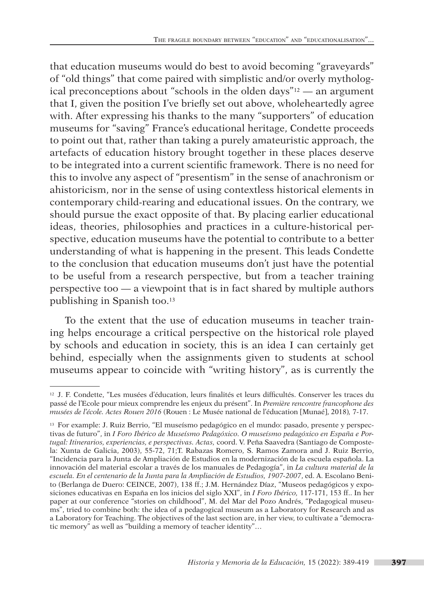that education museums would do best to avoid becoming "graveyards" of "old things" that come paired with simplistic and/or overly mythological preconceptions about "schools in the olden days"12 — an argument that I, given the position I've briefly set out above, wholeheartedly agree with. After expressing his thanks to the many "supporters" of education museums for "saving" France's educational heritage, Condette proceeds to point out that, rather than taking a purely amateuristic approach, the artefacts of education history brought together in these places deserve to be integrated into a current scientific framework. There is no need for this to involve any aspect of "presentism" in the sense of anachronism or ahistoricism, nor in the sense of using contextless historical elements in contemporary child-rearing and educational issues. On the contrary, we should pursue the exact opposite of that. By placing earlier educational ideas, theories, philosophies and practices in a culture-historical perspective, education museums have the potential to contribute to a better understanding of what is happening in the present. This leads Condette to the conclusion that education museums don't just have the potential to be useful from a research perspective, but from a teacher training perspective too — a viewpoint that is in fact shared by multiple authors publishing in Spanish too.13

To the extent that the use of education museums in teacher training helps encourage a critical perspective on the historical role played by schools and education in society, this is an idea I can certainly get behind, especially when the assignments given to students at school museums appear to coincide with "writing history", as is currently the

<sup>12</sup> J. F. Condette, "Les musées d'éducation, leurs finalités et leurs difficultés. Conserver les traces du passé de l'Ecole pour mieux comprendre les enjeux du présent". In *Première rencontre francophone des musées de l'école. Actes Rouen 2016* (Rouen : Le Musée national de l'éducation [Munaé], 2018)*,* 7-17.

<sup>13</sup> For example: J. Ruiz Berrio, "El museísmo pedagógico en el mundo: pasado, presente y perspectivas de futuro", in *I Foro Ibérico de Museísmo Pedagóxico. O museísmo pedagóxico en España e Portugal: Itinerarios, experiencias, e perspectivas. Actas,* coord. V. Peña Saavedra (Santiago de Compostela: Xunta de Galicia, 2003), 55-72, 71;T. Rabazas Romero, S. Ramos Zamora and J. Ruiz Berrio, "Incidencia para la Junta de Ampliación de Estudios en la modernización de la escuela española. La innovación del material escolar a través de los manuales de Pedagogía", in *La cultura material de la escuela. En el centenario de la Junta para la Ampliación de Estudios, 1907-2007*, ed. A. Escolano Benito (Berlanga de Duero: CEINCE, 2007), 138 ff.; J.M. Hernández Díaz, "Museos pedagógicos y exposiciones educativas en España en los inicios del siglo XXI", in *I Foro Ibérico,* 117-171, 153 ff.. In her paper at our conference "stories on childhood", M. del Mar del Pozo Andrés, "Pedagogical museums", tried to combine both: the idea of a pedagogical museum as a Laboratory for Research and as a Laboratory for Teaching. The objectives of the last section are, in her view, to cultivate a "democratic memory" as well as "building a memory of teacher identity"…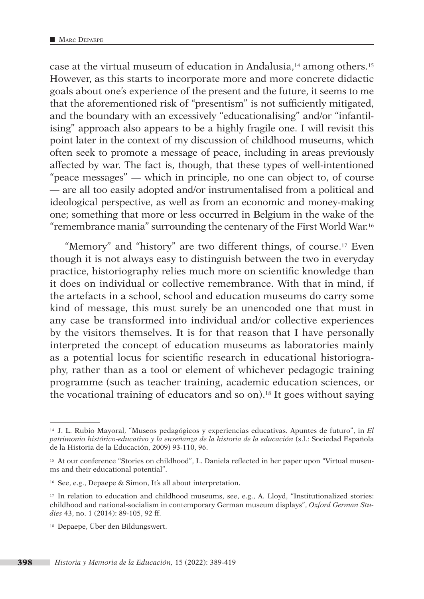case at the virtual museum of education in Andalusia,14 among others.15 However, as this starts to incorporate more and more concrete didactic goals about one's experience of the present and the future, it seems to me that the aforementioned risk of "presentism" is not sufficiently mitigated, and the boundary with an excessively "educationalising" and/or "infantilising" approach also appears to be a highly fragile one. I will revisit this point later in the context of my discussion of childhood museums, which often seek to promote a message of peace, including in areas previously affected by war. The fact is, though, that these types of well-intentioned "peace messages" — which in principle, no one can object to, of course — are all too easily adopted and/or instrumentalised from a political and ideological perspective, as well as from an economic and money-making one; something that more or less occurred in Belgium in the wake of the "remembrance mania" surrounding the centenary of the First World War.16

"Memory" and "history" are two different things, of course.17 Even though it is not always easy to distinguish between the two in everyday practice, historiography relies much more on scientific knowledge than it does on individual or collective remembrance. With that in mind, if the artefacts in a school, school and education museums do carry some kind of message, this must surely be an unencoded one that must in any case be transformed into individual and/or collective experiences by the visitors themselves. It is for that reason that I have personally interpreted the concept of education museums as laboratories mainly as a potential locus for scientific research in educational historiography, rather than as a tool or element of whichever pedagogic training programme (such as teacher training, academic education sciences, or the vocational training of educators and so on).18 It goes without saying

<sup>14</sup> J. L. Rubio Mayoral, "Museos pedagógicos y experiencias educativas. Apuntes de futuro", in *El patrimonio histórico-educativo y la enseñanza de la historia de la educación* (s.l.: Sociedad Española de la Historia de la Educación, 2009) 93-110, 96.

<sup>15</sup> At our conference "Stories on childhood", L. Daniela reflected in her paper upon "Virtual museums and their educational potential".

<sup>16</sup> See, e.g., Depaepe & Simon, It's all about interpretation.

<sup>17</sup> In relation to education and childhood museums, see, e.g., A. Lloyd, "Institutionalized stories: childhood and national-socialism in contemporary German museum displays", *Oxford German Studies* 43, no. 1 (2014): 89-105, 92 ff.

<sup>18</sup> Depaepe, Über den Bildungswert.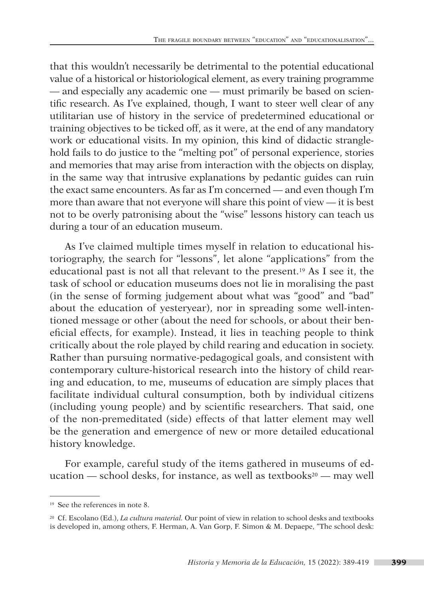that this wouldn't necessarily be detrimental to the potential educational value of a historical or historiological element, as every training programme — and especially any academic one — must primarily be based on scientific research. As I've explained, though, I want to steer well clear of any utilitarian use of history in the service of predetermined educational or training objectives to be ticked off, as it were, at the end of any mandatory work or educational visits. In my opinion, this kind of didactic stranglehold fails to do justice to the "melting pot" of personal experience, stories and memories that may arise from interaction with the objects on display, in the same way that intrusive explanations by pedantic guides can ruin the exact same encounters. As far as I'm concerned — and even though I'm more than aware that not everyone will share this point of view — it is best not to be overly patronising about the "wise" lessons history can teach us during a tour of an education museum.

As I've claimed multiple times myself in relation to educational historiography, the search for "lessons", let alone "applications" from the educational past is not all that relevant to the present.19 As I see it, the task of school or education museums does not lie in moralising the past (in the sense of forming judgement about what was "good" and "bad" about the education of yesteryear), nor in spreading some well-intentioned message or other (about the need for schools, or about their beneficial effects, for example). Instead, it lies in teaching people to think critically about the role played by child rearing and education in society. Rather than pursuing normative-pedagogical goals, and consistent with contemporary culture-historical research into the history of child rearing and education, to me, museums of education are simply places that facilitate individual cultural consumption, both by individual citizens (including young people) and by scientific researchers. That said, one of the non-premeditated (side) effects of that latter element may well be the generation and emergence of new or more detailed educational history knowledge.

For example, careful study of the items gathered in museums of education — school desks, for instance, as well as textbooks<sup>20</sup> — may well

<sup>19</sup> See the references in note 8.

<sup>20</sup> Cf. Escolano (Ed.), *La cultura material.* Our point of view in relation to school desks and textbooks is developed in, among others, F. Herman, A. Van Gorp, F. Simon & M. Depaepe, "The school desk: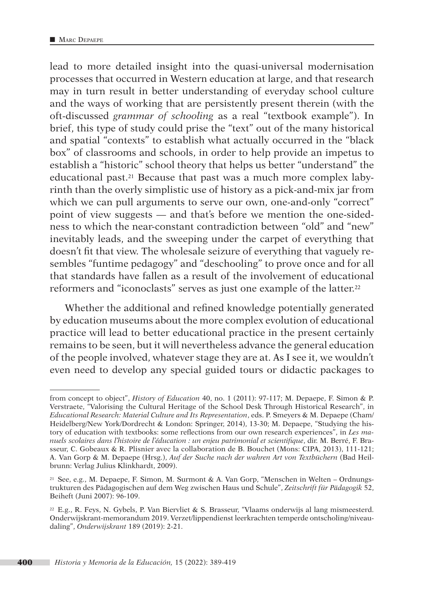lead to more detailed insight into the quasi-universal modernisation processes that occurred in Western education at large, and that research may in turn result in better understanding of everyday school culture and the ways of working that are persistently present therein (with the oft-discussed *grammar of schooling* as a real "textbook example"). In brief, this type of study could prise the "text" out of the many historical and spatial "contexts" to establish what actually occurred in the "black box" of classrooms and schools, in order to help provide an impetus to establish a "historic" school theory that helps us better "understand" the educational past.21 Because that past was a much more complex labyrinth than the overly simplistic use of history as a pick-and-mix jar from which we can pull arguments to serve our own, one-and-only "correct" point of view suggests — and that's before we mention the one-sidedness to which the near-constant contradiction between "old" and "new" inevitably leads, and the sweeping under the carpet of everything that doesn't fit that view. The wholesale seizure of everything that vaguely resembles "funtime pedagogy" and "deschooling" to prove once and for all that standards have fallen as a result of the involvement of educational reformers and "iconoclasts" serves as just one example of the latter.22

Whether the additional and refined knowledge potentially generated by education museums about the more complex evolution of educational practice will lead to better educational practice in the present certainly remains to be seen, but it will nevertheless advance the general education of the people involved, whatever stage they are at. As I see it, we wouldn't even need to develop any special guided tours or didactic packages to

from concept to object", *History of Education* 40, no. 1 (2011): 97-117; M. Depaepe, F. Simon & P. Verstraete, "Valorising the Cultural Heritage of the School Desk Through Historical Research", in *Educational Research: Material Culture and Its Representation*, eds. P. Smeyers & M. Depaepe (Cham/ Heidelberg/New York/Dordrecht & London: Springer, 2014), 13-30; M. Depaepe, "Studying the history of education with textbooks: some reflections from our own research experiences", in *Les manuels scolaires dans l'histoire de l'éducation : un enjeu patrimonial et scientifique*, dir. M. Berré, F. Brasseur, C. Gobeaux & R. Plisnier avec la collaboration de B. Bouchet (Mons: CIPA, 2013), 111-121; A. Van Gorp & M. Depaepe (Hrsg.), *Auf der Suche nach der wahren Art von Textbüchern* (Bad Heilbrunn: Verlag Julius Klinkhardt, 2009).

<sup>21</sup> See, e.g., M. Depaepe, F. Simon, M. Surmont & A. Van Gorp, "Menschen in Welten – Ordnungstrukturen des Pädagogischen auf dem Weg zwischen Haus und Schule", *Zeitschrift für Pädagogik* 52, Beiheft (Juni 2007): 96-109.

<sup>&</sup>lt;sup>22</sup> E.g., R. Feys, N. Gybels, P. Van Biervliet & S. Brasseur, "Vlaams onderwijs al lang mismeesterd. Onderwijskrant-memorandum 2019. Verzet/lippendienst leerkrachten temperde ontscholing/niveaudaling", *Onderwijskrant* 189 (2019): 2-21.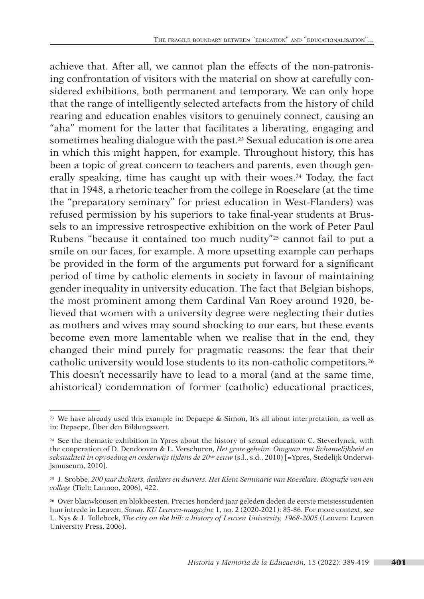achieve that. After all, we cannot plan the effects of the non-patronising confrontation of visitors with the material on show at carefully considered exhibitions, both permanent and temporary. We can only hope that the range of intelligently selected artefacts from the history of child rearing and education enables visitors to genuinely connect, causing an "aha" moment for the latter that facilitates a liberating, engaging and sometimes healing dialogue with the past.23 Sexual education is one area in which this might happen, for example. Throughout history, this has been a topic of great concern to teachers and parents, even though generally speaking, time has caught up with their woes.<sup>24</sup> Today, the fact that in 1948, a rhetoric teacher from the college in Roeselare (at the time the "preparatory seminary" for priest education in West-Flanders) was refused permission by his superiors to take final-year students at Brussels to an impressive retrospective exhibition on the work of Peter Paul Rubens "because it contained too much nudity"25 cannot fail to put a smile on our faces, for example. A more upsetting example can perhaps be provided in the form of the arguments put forward for a significant period of time by catholic elements in society in favour of maintaining gender inequality in university education. The fact that Belgian bishops, the most prominent among them Cardinal Van Roey around 1920, believed that women with a university degree were neglecting their duties as mothers and wives may sound shocking to our ears, but these events become even more lamentable when we realise that in the end, they changed their mind purely for pragmatic reasons: the fear that their catholic university would lose students to its non-catholic competitors.26 This doesn't necessarily have to lead to a moral (and at the same time, ahistorical) condemnation of former (catholic) educational practices,

<sup>&</sup>lt;sup>23</sup> We have already used this example in: Depaepe & Simon, It's all about interpretation, as well as in: Depaepe, Über den Bildungswert.

<sup>&</sup>lt;sup>24</sup> See the thematic exhibition in Ypres about the history of sexual education: C. Steverlynck, with the cooperation of D. Dendooven & L. Verschuren, *Het grote geheim. Omgaan met lichamelijkheid en seksualiteit in opvoeding en onderwijs tijdens de 20*ste *eeuw* (s.l., s.d., 2010) [=Ypres, Stedelijk Onderwijsmuseum, 2010].

<sup>25</sup> J. Srobbe, *200 jaar dichters, denkers en durvers. Het Klein Seminarie van Roeselare. Biografie van een college* (Tielt: Lannoo, 2006), 422.

<sup>26</sup> Over blauwkousen en blokbeesten. Precies honderd jaar geleden deden de eerste meisjesstudenten hun intrede in Leuven, *Sonar. KU Leuven-magazine* 1, no. 2 (2020-2021): 85-86. For more context, see L. Nys & J. Tollebeek, *The city on the hill: a history of Leuven University, 1968-2005* (Leuven: Leuven University Press, 2006).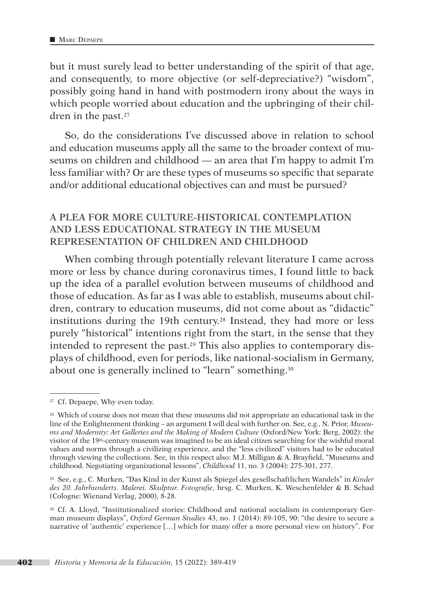but it must surely lead to better understanding of the spirit of that age, and consequently, to more objective (or self-depreciative?) "wisdom", possibly going hand in hand with postmodern irony about the ways in which people worried about education and the upbringing of their children in the past.<sup>27</sup>

So, do the considerations I've discussed above in relation to school and education museums apply all the same to the broader context of museums on children and childhood — an area that I'm happy to admit I'm less familiar with? Or are these types of museums so specific that separate and/or additional educational objectives can and must be pursued?

# **A PLEA FOR MORE CULTURE-HISTORICAL CONTEMPLATION AND LESS EDUCATIONAL STRATEGY IN THE MUSEUM REPRESENTATION OF CHILDREN AND CHILDHOOD**

When combing through potentially relevant literature I came across more or less by chance during coronavirus times, I found little to back up the idea of a parallel evolution between museums of childhood and those of education. As far as I was able to establish, museums about children, contrary to education museums, did not come about as "didactic" institutions during the 19th century.28 Instead, they had more or less purely "historical" intentions right from the start, in the sense that they intended to represent the past.29 This also applies to contemporary displays of childhood, even for periods, like national-socialism in Germany, about one is generally inclined to "learn" something.30

<sup>&</sup>lt;sup>27</sup> Cf. Depaepe, Why even today.

<sup>&</sup>lt;sup>28</sup> Which of course does not mean that these museums did not appropriate an educational task in the line of the Enlightenment thinking – an argument I will deal with further on. See, e.g., N. Prior, *Museums and Modernity: Art Galleries and the Making of Modern Culture (Oxford/New York: Berg, 2002): the* visitor of the 19th-century museum was imagined to be an ideal citizen searching for the wishful moral values and norms through a civilizing experience, and the "less civilized" visitors had to be educated through viewing the collections. See, in this respect also: M.J. Milligan & A. Brayfield, "Museums and childhood. Negotiating organizational lessons", *Childhood* 11, no. 3 (2004): 275-301, 277.

<sup>29</sup> See, e.g., C. Murken, "Das Kind in der Kunst als Spiegel des gesellschaftlichen Wandels" in *Kinder des 20. Jahrhunderts. Malerei. Skulptur. Fotografie*, hrsg. C. Murken, K. Weschenfelder & B. Schad (Cologne: Wienand Verlag, 2000), 8-28.

<sup>30</sup> Cf. A. Lloyd, "Institutionalized stories: Childhood and national socialism in contemporary German museum displays", *Oxford German Studies* 43, no. 1 (2014): 89-105, 90: "the desire to secure a narrative of 'authentic' experience […] which for many offer a more personal view on history". For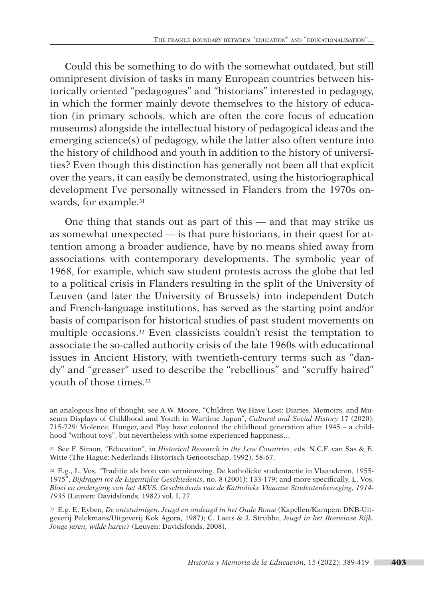Could this be something to do with the somewhat outdated, but still omnipresent division of tasks in many European countries between historically oriented "pedagogues" and "historians" interested in pedagogy, in which the former mainly devote themselves to the history of education (in primary schools, which are often the core focus of education museums) alongside the intellectual history of pedagogical ideas and the emerging science(s) of pedagogy, while the latter also often venture into the history of childhood and youth in addition to the history of universities? Even though this distinction has generally not been all that explicit over the years, it can easily be demonstrated, using the historiographical development I've personally witnessed in Flanders from the 1970s onwards, for example.31

One thing that stands out as part of this — and that may strike us as somewhat unexpected — is that pure historians, in their quest for attention among a broader audience, have by no means shied away from associations with contemporary developments. The symbolic year of 1968, for example, which saw student protests across the globe that led to a political crisis in Flanders resulting in the split of the University of Leuven (and later the University of Brussels) into independent Dutch and French-language institutions, has served as the starting point and/or basis of comparison for historical studies of past student movements on multiple occasions.32 Even classicists couldn't resist the temptation to associate the so-called authority crisis of the late 1960s with educational issues in Ancient History, with twentieth-century terms such as "dandy" and "greaser" used to describe the "rebellious" and "scruffy haired" youth of those times.33

an analogous line of thought, see A.W. Moore, "Children We Have Lost: Diaries, Memoirs, and Museum Displays of Childhood and Youth in Wartime Japan", *Cultural and Social History* 17 (2020): 715-729: Violence, Hunger, and Play have coloured the childhood generation after 1945 – a childhood "without toys", but nevertheless with some experienced happiness…

<sup>31</sup> See F. Simon, "Education", in *Historical Research in the Low Countries*, eds. N.C.F. van Sas & E. Witte (The Hague: Nederlands Historisch Genootschap, 1992), 58-67.

<sup>32</sup> E.g., L. Vos, "Traditie als bron van vernieuwing. De katholieke studentactie in Vlaanderen, 1955- 1975", *Bijdragen tot de Eigentijdse Geschiedenis*, no. 8 (2001): 133-179; and more specifically, L. Vos, *Bloei en ondergang van het AKVS. Geschiedenis van de Katholieke Vlaamse Studentenbeweging, 1914- 1935* (Leuven: Davidsfonds, 1982) vol. I, 27.

<sup>33</sup> E.g. E. Eyben, *De ontstuimigen. Jeugd en ondeugd in het Oude Rome* (Kapellen/Kampen: DNB-Uitgeverij Pelckmans/Uitgeverij Kok Agora, 1987); C. Laets & J. Strubbe, *Jeugd in het Romeinse Rijk. Jonge jaren, wilde haren?* (Leuven: Davidsfonds, 2008).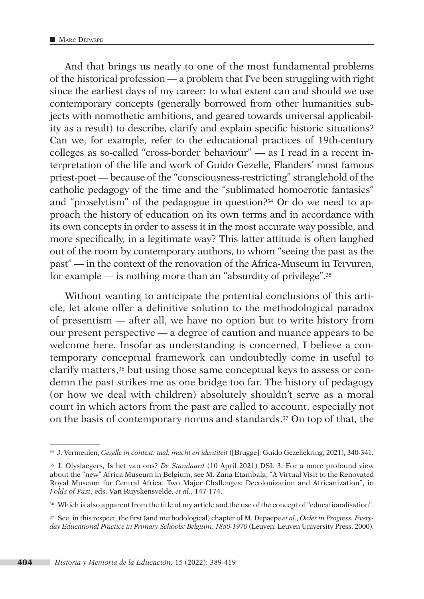And that brings us neatly to one of the most fundamental problems of the historical profession — a problem that I've been struggling with right since the earliest days of my career: to what extent can and should we use contemporary concepts (generally borrowed from other humanities subjects with nomothetic ambitions, and geared towards universal applicability as a result) to describe, clarify and explain specific historic situations? Can we, for example, refer to the educational practices of 19th-century colleges as so-called "cross-border behaviour" — as I read in a recent interpretation of the life and work of Guido Gezelle, Flanders' most famous priest-poet — because of the "consciousness-restricting" stranglehold of the catholic pedagogy of the time and the "sublimated homoerotic fantasies" and "proselytism" of the pedagogue in question?34 Or do we need to approach the history of education on its own terms and in accordance with its own concepts in order to assess it in the most accurate way possible, and more specifically, in a legitimate way? This latter attitude is often laughed out of the room by contemporary authors, to whom "seeing the past as the past" — in the context of the renovation of the Africa-Museum in Tervuren, for example — is nothing more than an "absurdity of privilege".35

Without wanting to anticipate the potential conclusions of this article, let alone offer a definitive solution to the methodological paradox of presentism — after all, we have no option but to write history from our present perspective — a degree of caution and nuance appears to be welcome here. Insofar as understanding is concerned, I believe a contemporary conceptual framework can undoubtedly come in useful to clarify matters,36 but using those same conceptual keys to assess or condemn the past strikes me as one bridge too far. The history of pedagogy (or how we deal with children) absolutely shouldn't serve as a moral court in which actors from the past are called to account, especially not on the basis of contemporary norms and standards.37 On top of that, the

<sup>34</sup> J. Vermeulen, *Gezelle in context: taal, macht en identiteit* ([Brugge]: Guido Gezellekring, 2021), 340-341.

<sup>35</sup> J. Olyslaegers, Is het van ons? *De Standaard* (10 April 2021) DSL 3. For a more profound view about the "new" Africa Museum in Belgium, see M. Zana Etambala, "A Virtual Visit to the Renovated Royal Museum for Central Africa. Two Major Challenges: Decolonization and Africanization", in *Folds of Past*, eds. Van Ruyskensvelde, *et al*., 147-174.

<sup>36</sup> Which is also apparent from the title of my article and the use of the concept of "educationalisation".

<sup>37</sup> See, in this respect, the first (and methodological) chapter of M. Depaepe *et al*., *Order in Progress. Every*day Educational Practice in Primary Schools: Belgium, 1880-1970 (Leuven: Leuven University Press, 2000).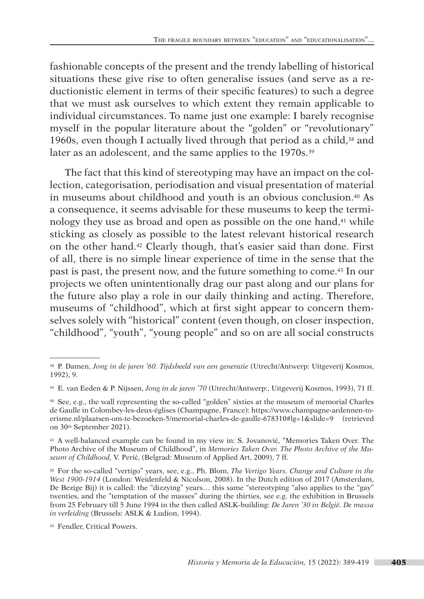fashionable concepts of the present and the trendy labelling of historical situations these give rise to often generalise issues (and serve as a reductionistic element in terms of their specific features) to such a degree that we must ask ourselves to which extent they remain applicable to individual circumstances. To name just one example: I barely recognise myself in the popular literature about the "golden" or "revolutionary" 1960s, even though I actually lived through that period as a child, $38$  and later as an adolescent, and the same applies to the 1970s.<sup>39</sup>

The fact that this kind of stereotyping may have an impact on the collection, categorisation, periodisation and visual presentation of material in museums about childhood and youth is an obvious conclusion.40 As a consequence, it seems advisable for these museums to keep the terminology they use as broad and open as possible on the one hand,<sup>41</sup> while sticking as closely as possible to the latest relevant historical research on the other hand.42 Clearly though, that's easier said than done. First of all, there is no simple linear experience of time in the sense that the past is past, the present now, and the future something to come.43 In our projects we often unintentionally drag our past along and our plans for the future also play a role in our daily thinking and acting. Therefore, museums of "childhood", which at first sight appear to concern themselves solely with "historical" content (even though, on closer inspection, "childhood", "youth", "young people" and so on are all social constructs

<sup>38</sup> P. Damen, *Jong in de jaren '60. Tijdsbeeld van een generatie* (Utrecht/Antwerp: Uitgeverij Kosmos, 1992), 9.

<sup>39</sup> E. van Eeden & P. Nijssen, *Jong in de jaren '70* (Utrecht/Antwerp:, Uitgeverij Kosmos, 1993), 71 ff.

<sup>40</sup> See, e.g., the wall representing the so-called "golden" sixties at the museum of memorial Charles de Gaulle in Colombey-les-deux-églises (Champagne, France): [https://www.champagne-ardennen-to](https://www.champagne-ardennen-toerisme.nl/plaatsen-om-te-bezoeken-5/memorial-charles-de-gaulle-678310#lg=1&slide=9)[erisme.nl/plaatsen-om-te-bezoeken-5/memorial-charles-de-gaulle-678310#lg=1&slide=9](https://www.champagne-ardennen-toerisme.nl/plaatsen-om-te-bezoeken-5/memorial-charles-de-gaulle-678310#lg=1&slide=9) (retrieved on 30th September 2021).

<sup>41</sup> A well-balanced example can be found in my view in: S. Jovanović, "Memories Taken Over. The Photo Archive of the Museum of Childhood", in *Memories Taken Over. The Photo Archive of the Museum of Childhood,* V. Perić, (Belgrad: Museum of Applied Art, 2009), 7 ff.

<sup>42</sup> For the so-called "vertigo" years, see, e.g., Ph. Blom, *The Vertigo Years. Change and Culture in the West 1900-1914* (London: Weidenfeld & Nicolson, 2008). In the Dutch edition of 2017 (Amsterdam, De Bezige Bij) it is called: the "dizzying" years… this same "stereotyping "also applies to the "gay" twenties, and the "temptation of the masses" during the thirties, see e.g. the exhibition in Brussels from 25 February till 5 June 1994 in the then called ASLK-building: *De Jaren '30 in België. De massa in verleiding* (Brussels: ASLK & Ludion, 1994).

<sup>43</sup> Fendler, Critical Powers.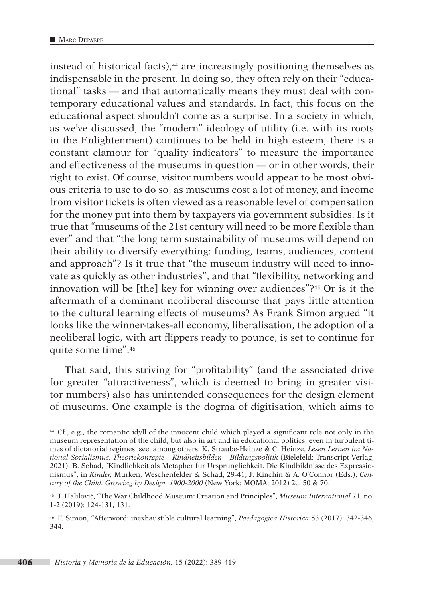instead of historical facts),<sup>44</sup> are increasingly positioning themselves as indispensable in the present. In doing so, they often rely on their "educational" tasks — and that automatically means they must deal with contemporary educational values and standards. In fact, this focus on the educational aspect shouldn't come as a surprise. In a society in which, as we've discussed, the "modern" ideology of utility (i.e. with its roots in the Enlightenment) continues to be held in high esteem, there is a constant clamour for "quality indicators" to measure the importance and effectiveness of the museums in question — or in other words, their right to exist. Of course, visitor numbers would appear to be most obvious criteria to use to do so, as museums cost a lot of money, and income from visitor tickets is often viewed as a reasonable level of compensation for the money put into them by taxpayers via government subsidies. Is it true that "museums of the 21st century will need to be more flexible than ever" and that "the long term sustainability of museums will depend on their ability to diversify everything: funding, teams, audiences, content and approach"? Is it true that "the museum industry will need to innovate as quickly as other industries", and that "flexibility, networking and innovation will be [the] key for winning over audiences"?45 Or is it the aftermath of a dominant neoliberal discourse that pays little attention to the cultural learning effects of museums? As Frank Simon argued "it looks like the winner-takes-all economy, liberalisation, the adoption of a neoliberal logic, with art flippers ready to pounce, is set to continue for quite some time".46

That said, this striving for "profitability" (and the associated drive for greater "attractiveness", which is deemed to bring in greater visitor numbers) also has unintended consequences for the design element of museums. One example is the dogma of digitisation, which aims to

<sup>44</sup> Cf., e.g., the romantic idyll of the innocent child which played a significant role not only in the museum representation of the child, but also in art and in educational politics, even in turbulent times of dictatorial regimes, see, among others: K. Straube-Heinze & C. Heinze, *Lesen Lernen im National-Sozialismus. Theoriekonzepte – Kindheitsbilden – Bildungspolitik* (Bielefeld: Transcript Verlag, 2021); B. Schad, "Kindlichkeit als Metapher für Ursprünglichkeit. Die Kindbildnisse des Expressionismus", in *Kinder,* Murken, Weschenfelder & Schad, 29-41; J. Kinchin & A. O'Connor (Eds.), *Century of the Child. Growing by Design, 1900-2000* (New York: MOMA, 2012) 2c, 50 & 70.

<sup>45</sup> J. Halilović, "The War Childhood Museum: Creation and Principles", *Museum International* 71, no. 1-2 (2019): 124-131, 131.

<sup>46</sup> F. Simon, "Afterword: inexhaustible cultural learning", *Paedagogica Historica* 53 (2017): 342-346, 344.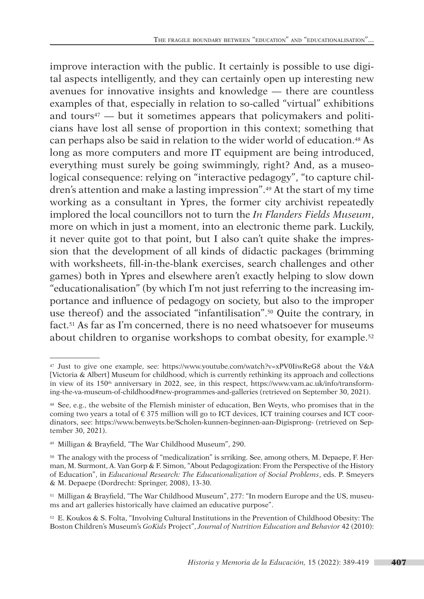improve interaction with the public. It certainly is possible to use digital aspects intelligently, and they can certainly open up interesting new avenues for innovative insights and knowledge — there are countless examples of that, especially in relation to so-called "virtual" exhibitions and tours<sup> $47$ </sup> — but it sometimes appears that policymakers and politicians have lost all sense of proportion in this context; something that can perhaps also be said in relation to the wider world of education.48 As long as more computers and more IT equipment are being introduced, everything must surely be going swimmingly, right? And, as a museological consequence: relying on "interactive pedagogy", "to capture children's attention and make a lasting impression".49 At the start of my time working as a consultant in Ypres, the former city archivist repeatedly implored the local councillors not to turn the *In Flanders Fields Museum*, more on which in just a moment, into an electronic theme park. Luckily, it never quite got to that point, but I also can't quite shake the impression that the development of all kinds of didactic packages (brimming with worksheets, fill-in-the-blank exercises, search challenges and other games) both in Ypres and elsewhere aren't exactly helping to slow down "educationalisation" (by which I'm not just referring to the increasing importance and influence of pedagogy on society, but also to the improper use thereof) and the associated "infantilisation".50 Quite the contrary, in fact.51 As far as I'm concerned, there is no need whatsoever for museums about children to organise workshops to combat obesity, for example.52

<sup>47</sup> Just to give one example, see: <https://www.youtube.com/watch?v=xPV0IiwReG8> about the V&A [Victoria & Albert] Museum for childhood, which is currently rethinking its approach and collections in view of its 150th anniversary in 2022, see, in this respect, [https://www.vam.ac.uk/info/transform](https://www.vam.ac.uk/info/transforming-the-va-museum-of-childhood#new-programmes-and-galleries)[ing-the-va-museum-of-childhood#new-programmes-and-galleries](https://www.vam.ac.uk/info/transforming-the-va-museum-of-childhood#new-programmes-and-galleries) (retrieved on September 30, 2021).

<sup>48</sup> See, e.g., the website of the Flemish minister of education, Ben Weyts, who promises that in the coming two years a total of  $\epsilon$  375 million will go to ICT devices, ICT training courses and ICT coordinators, see: <https://www.benweyts.be/Scholen-kunnen-beginnen-aan-Digisprong-> (retrieved on September 30, 2021).

<sup>49</sup> Milligan & Brayfield, "The War Childhood Museum", 290.

<sup>50</sup> The analogy with the process of "medicalization" is srriking. See, among others, M. Depaepe, F. Herman, M. Surmont, A. Van Gorp & F. Simon, "About Pedagogization: From the Perspective of the History of Education", in *Educational Research: The Educationalization of Social Problems*, eds. P. Smeyers & M. Depaepe (Dordrecht: Springer, 2008), 13-30.

<sup>51</sup> Milligan & Brayfield, "The War Childhood Museum", 277: "In modern Europe and the US, museums and art galleries historically have claimed an educative purpose".

<sup>52</sup> E. Koukos & S. Folta, "Involving Cultural Institutions in the Prevention of Childhood Obesity: The Boston Children's Museum's *GoKids* Project", *Journal of Nutrition Education and Behavior* 42 (2010):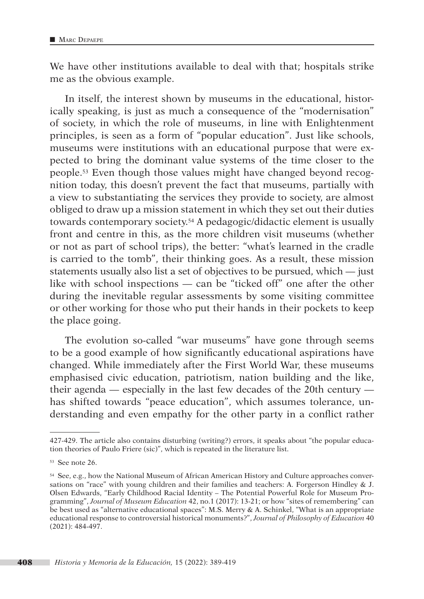We have other institutions available to deal with that; hospitals strike me as the obvious example.

In itself, the interest shown by museums in the educational, historically speaking, is just as much a consequence of the "modernisation" of society, in which the role of museums, in line with Enlightenment principles, is seen as a form of "popular education". Just like schools, museums were institutions with an educational purpose that were expected to bring the dominant value systems of the time closer to the people.53 Even though those values might have changed beyond recognition today, this doesn't prevent the fact that museums, partially with a view to substantiating the services they provide to society, are almost obliged to draw up a mission statement in which they set out their duties towards contemporary society.54 A pedagogic/didactic element is usually front and centre in this, as the more children visit museums (whether or not as part of school trips), the better: "what's learned in the cradle is carried to the tomb", their thinking goes. As a result, these mission statements usually also list a set of objectives to be pursued, which — just like with school inspections — can be "ticked off" one after the other during the inevitable regular assessments by some visiting committee or other working for those who put their hands in their pockets to keep the place going.

The evolution so-called "war museums" have gone through seems to be a good example of how significantly educational aspirations have changed. While immediately after the First World War, these museums emphasised civic education, patriotism, nation building and the like, their agenda — especially in the last few decades of the 20th century has shifted towards "peace education", which assumes tolerance, understanding and even empathy for the other party in a conflict rather

<sup>427-429.</sup> The article also contains disturbing (writing?) errors, it speaks about "the popular education theories of Paulo Friere (sic)", which is repeated in the literature list.

<sup>53</sup> See note 26.

<sup>54</sup> See, e.g., how the National Museum of African American History and Culture approaches conversations on "race" with young children and their families and teachers: A. Forgerson Hindley & J. Olsen Edwards, "Early Childhood Racial Identity – The Potential Powerful Role for Museum Programming", *Journal of Museum Education* 42, no.1 (2017): 13-21; or how "sites of remembering" can be best used as "alternative educational spaces": M.S. Merry & A. Schinkel, "What is an appropriate educational response to controversial historical monuments?", *Journal of Philosophy of Education* 40 (2021): 484-497.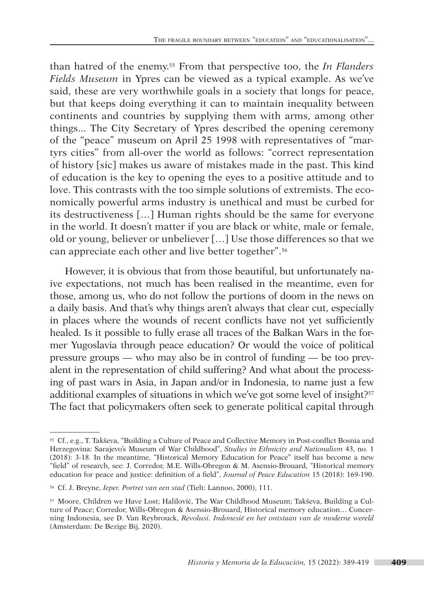than hatred of the enemy.55 From that perspective too, the *In Flanders Fields Museum* in Ypres can be viewed as a typical example. As we've said, these are very worthwhile goals in a society that longs for peace, but that keeps doing everything it can to maintain inequality between continents and countries by supplying them with arms, among other things... The City Secretary of Ypres described the opening ceremony of the "peace" museum on April 25 1998 with representatives of "martyrs cities" from all-over the world as follows: "correct representation of history [sic] makes us aware of mistakes made in the past. This kind of education is the key to opening the eyes to a positive attitude and to love. This contrasts with the too simple solutions of extremists. The economically powerful arms industry is unethical and must be curbed for its destructiveness […] Human rights should be the same for everyone in the world. It doesn't matter if you are black or white, male or female, old or young, believer or unbeliever […] Use those differences so that we can appreciate each other and live better together".56

However, it is obvious that from those beautiful, but unfortunately naive expectations, not much has been realised in the meantime, even for those, among us, who do not follow the portions of doom in the news on a daily basis. And that's why things aren't always that clear cut, especially in places where the wounds of recent conflicts have not yet sufficiently healed. Is it possible to fully erase all traces of the Balkan Wars in the former Yugoslavia through peace education? Or would the voice of political pressure groups — who may also be in control of funding — be too prevalent in the representation of child suffering? And what about the processing of past wars in Asia, in Japan and/or in Indonesia, to name just a few additional examples of situations in which we've got some level of insight?57 The fact that policymakers often seek to generate political capital through

<sup>55</sup> Cf., e.g., T. Takševa, "Building a Culture of Peace and Collective Memory in Post-conflict Bosnia and Herzegovina: Sarajevo's Museum of War Childhood", *Studies in Ethnicity and Nationalism* 43, no. 1 (2018): 3-18. In the meantime, "Historical Memory Education for Peace" itself has become a new "field" of research, see: J. Corredor, M.E. Wills-Obregon & M. Asensio-Brouard, "Historical memory education for peace and justice: definition of a field", *Journal of Peace Education* 15 (2018): 169-190.

<sup>56</sup> Cf. J. Breyne, *Ieper. Portret van een stad* (Tielt: Lannoo, 2000), 111.

<sup>57</sup> Moore, Children we Have Lost; Halilović, The War Childhood Museum; Takševa, Building a Culture of Peace; Corredor, Wills-Obregon & Asensio-Brouard, Historical memory education… Concerning Indonesia, see D. Van Reybrouck, *Revolusi. Indonesië en het ontstaan van de moderne wereld*  (Amsterdam: De Bezige Bij, 2020).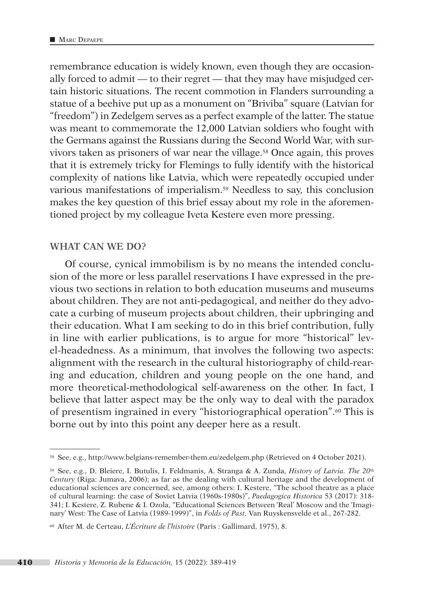remembrance education is widely known, even though they are occasionally forced to admit — to their regret — that they may have misjudged certain historic situations. The recent commotion in Flanders surrounding a statue of a beehive put up as a monument on "Briviba" square (Latvian for "freedom") in Zedelgem serves as a perfect example of the latter. The statue was meant to commemorate the 12,000 Latvian soldiers who fought with the Germans against the Russians during the Second World War, with survivors taken as prisoners of war near the village.58 Once again, this proves that it is extremely tricky for Flemings to fully identify with the historical complexity of nations like Latvia, which were repeatedly occupied under various manifestations of imperialism.59 Needless to say, this conclusion makes the key question of this brief essay about my role in the aforementioned project by my colleague Iveta Kestere even more pressing.

#### **WHAT CAN WE DO?**

Of course, cynical immobilism is by no means the intended conclusion of the more or less parallel reservations I have expressed in the previous two sections in relation to both education museums and museums about children. They are not anti-pedagogical, and neither do they advocate a curbing of museum projects about children, their upbringing and their education. What I am seeking to do in this brief contribution, fully in line with earlier publications, is to argue for more "historical" level-headedness. As a minimum, that involves the following two aspects: alignment with the research in the cultural historiography of child-rearing and education, children and young people on the one hand, and more theoretical-methodological self-awareness on the other. In fact, I believe that latter aspect may be the only way to deal with the paradox of presentism ingrained in every "historiographical operation".60 This is borne out by into this point any deeper here as a result.

<sup>58</sup> See, e.g.,<http://www.belgians-remember-them.eu/zedelgem.php> (Retrieved on 4 October 2021).

<sup>59</sup> See, e.g., D. Bleiere, I. Butulis, I. Feldmanis, A. Stranga & A. Zunda, *History of Latvia. The 20*th *Century* (Riga: Jumava, 2006); as far as the dealing with cultural heritage and the development of educational sciences are concerned, see, among others: I. Kestere, "The school theatre as a place of cultural learning: the case of Soviet Latvia (1960s-1980s)", *Paedagogica Historica* 53 (2017): 318- 341; I. Kestere, Z. Rubene & I. Ozola, "Educational Sciences Between 'Real' Moscow and the 'Imaginary' West: The Case of Latvia (1989-1999)", in *Folds of Past,* Van Ruyskensvelde et al., 267-282.

<sup>60</sup> After M. de Certeau, *L'Écriture de l'histoire* (Paris : Gallimard, 1975), 8.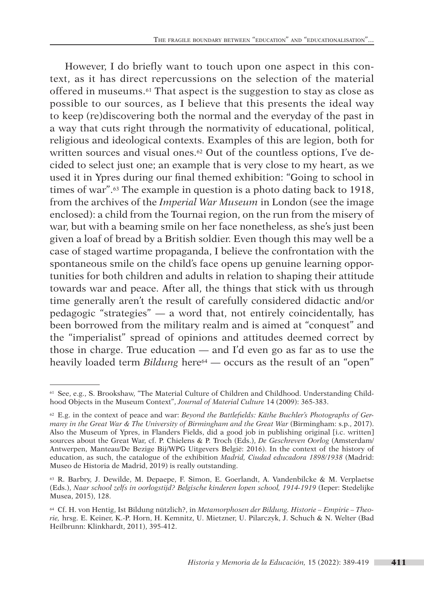However, I do briefly want to touch upon one aspect in this context, as it has direct repercussions on the selection of the material offered in museums.61 That aspect is the suggestion to stay as close as possible to our sources, as I believe that this presents the ideal way to keep (re)discovering both the normal and the everyday of the past in a way that cuts right through the normativity of educational, political, religious and ideological contexts. Examples of this are legion, both for written sources and visual ones.<sup>62</sup> Out of the countless options, I've decided to select just one; an example that is very close to my heart, as we used it in Ypres during our final themed exhibition: "Going to school in times of war".63 The example in question is a photo dating back to 1918, from the archives of the *Imperial War Museum* in London (see the image enclosed): a child from the Tournai region, on the run from the misery of war, but with a beaming smile on her face nonetheless, as she's just been given a loaf of bread by a British soldier. Even though this may well be a case of staged wartime propaganda, I believe the confrontation with the spontaneous smile on the child's face opens up genuine learning opportunities for both children and adults in relation to shaping their attitude towards war and peace. After all, the things that stick with us through time generally aren't the result of carefully considered didactic and/or pedagogic "strategies" — a word that, not entirely coincidentally, has been borrowed from the military realm and is aimed at "conquest" and the "imperialist" spread of opinions and attitudes deemed correct by those in charge. True education — and I'd even go as far as to use the heavily loaded term *Bildung* here<sup>64</sup> — occurs as the result of an "open"

<sup>61</sup> See, e.g., S. Brookshaw, "The Material Culture of Children and Childhood. Understanding Childhood Objects in the Museum Context", *Journal of Material Culture* 14 (2009): 365-383.

<sup>62</sup> E.g. in the context of peace and war: *Beyond the Battlefields: Käthe Buchler's Photographs of Germany in the Great War & The University of Birmingham and the Great War* (Birmingham: s.p., 2017). Also the Museum of Ypres, in Flanders Fields, did a good job in publishing original [i.c. written] sources about the Great War, cf. P. Chielens & P. Troch (Eds.), *De Geschreven Oorlog* (Amsterdam/ Antwerpen, Manteau/De Bezige Bij/WPG Uitgevers België: 2016). In the context of the history of education, as such, the catalogue of the exhibition *Madrid, Ciudad educadora 1898/1938* (Madrid: Museo de Historia de Madrid, 2019) is really outstanding.

<sup>63</sup> R. Barbry, J. Dewilde, M. Depaepe, F. Simon, E. Goerlandt, A. Vandenbilcke & M. Verplaetse (Eds.), *Naar school zelfs in oorlogstijd? Belgische kinderen lopen school, 1914-1919* (Ieper: Stedelijke Musea, 2015), 128.

<sup>64</sup> Cf. H. von Hentig, Ist Bildung nützlich?, in *Metamorphosen der Bildung. Historie – Empirie – Theorie,* hrsg. E. Keiner, K.-P. Horn, H. Kemnitz, U. Mietzner, U. Pilarczyk, J. Schuch & N. Welter (Bad Heilbrunn: Klinkhardt, 2011), 395-412.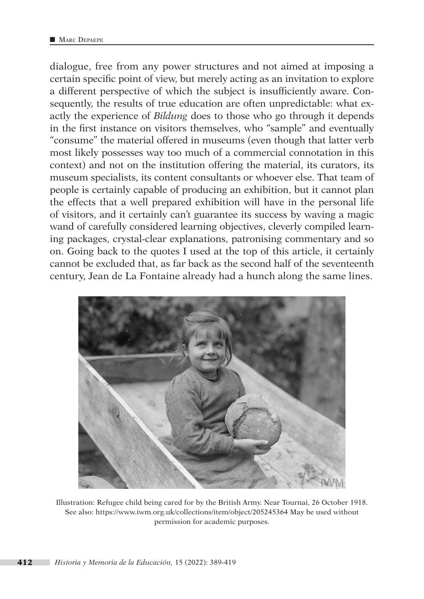dialogue, free from any power structures and not aimed at imposing a certain specific point of view, but merely acting as an invitation to explore a different perspective of which the subject is insufficiently aware. Consequently, the results of true education are often unpredictable: what exactly the experience of *Bildung* does to those who go through it depends in the first instance on visitors themselves, who "sample" and eventually "consume" the material offered in museums (even though that latter verb most likely possesses way too much of a commercial connotation in this context) and not on the institution offering the material, its curators, its museum specialists, its content consultants or whoever else. That team of people is certainly capable of producing an exhibition, but it cannot plan the effects that a well prepared exhibition will have in the personal life of visitors, and it certainly can't guarantee its success by waving a magic wand of carefully considered learning objectives, cleverly compiled learning packages, crystal-clear explanations, patronising commentary and so on. Going back to the quotes I used at the top of this article, it certainly cannot be excluded that, as far back as the second half of the seventeenth century, Jean de La Fontaine already had a hunch along the same lines.



Illustration: Refugee child being cared for by the British Army. Near Tournai, 26 October 1918. See also: <https://www.iwm.org.uk/collections/item/object/205245364> May be used without permission for academic purposes.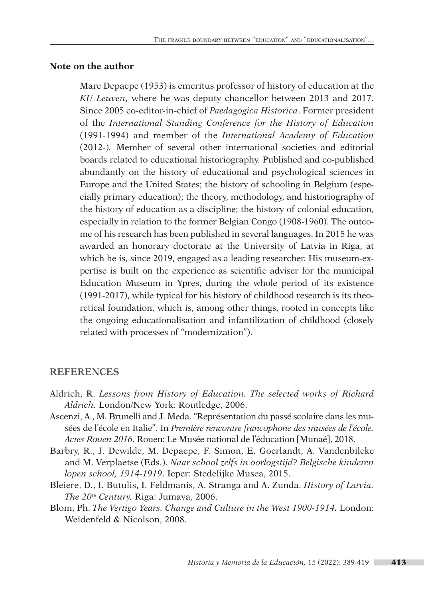#### **Note on the author**

Marc Depaepe (1953) is emeritus professor of history of education at the *KU Leuven*, where he was deputy chancellor between 2013 and 2017. Since 2005 co-editor-in-chief of *Paedagogica Historica*. Former president of the *International Standing Conference for the History of Education* (1991-1994) and member of the *International Academy of Education* (2012-)*.* Member of several other international societies and editorial boards related to educational historiography. Published and co-published abundantly on the history of educational and psychological sciences in Europe and the United States; the history of schooling in Belgium (especially primary education); the theory, methodology, and historiography of the history of education as a discipline; the history of colonial education, especially in relation to the former Belgian Congo (1908-1960). The outcome of his research has been published in several languages. In 2015 he was awarded an honorary doctorate at the University of Latvia in Riga, at which he is, since 2019, engaged as a leading researcher. His museum-expertise is built on the experience as scientific adviser for the municipal Education Museum in Ypres, during the whole period of its existence (1991-2017), while typical for his history of childhood research is its theoretical foundation, which is, among other things, rooted in concepts like the ongoing educationalisation and infantilization of childhood (closely related with processes of "modernization").

#### **REFERENCES**

- Aldrich, R. *Lessons from History of Education. The selected works of Richard Aldrich.* London/New York: Routledge, 2006.
- Ascenzi, A., M. Brunelli and J. Meda. "Représentation du passé scolaire dans les musées de l'école en Italie". In *Première rencontre francophone des musées de l'école. Actes Rouen 2016*. Rouen: Le Musée national de l'éducation [Munaé], 2018.
- Barbry, R., J. Dewilde, M. Depaepe, F. Simon, E. Goerlandt, A. Vandenbilcke and M. Verplaetse (Eds.). *Naar school zelfs in oorlogstijd? Belgische kinderen lopen school, 1914-1919*. Ieper: Stedelijke Musea, 2015.
- Bleiere, D., I. Butulis, I. Feldmanis, A. Stranga and A. Zunda. *History of Latvia. The 20*th *Century.* Riga: Jumava, 2006.
- Blom, Ph. *The Vertigo Years. Change and Culture in the West 1900-1914.* London: Weidenfeld & Nicolson, 2008.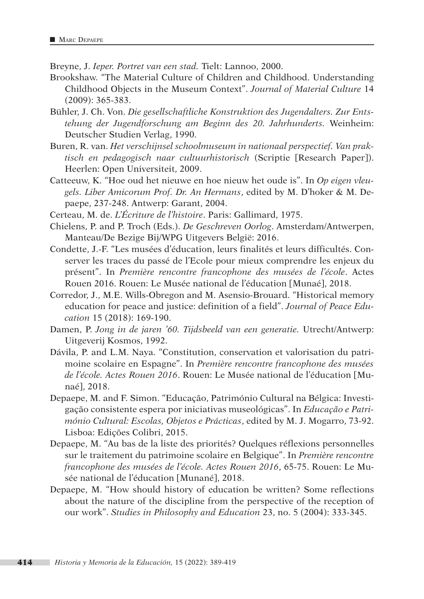Breyne, J. *Ieper. Portret van een stad.* Tielt: Lannoo, 2000.

- Brookshaw. "The Material Culture of Children and Childhood. Understanding Childhood Objects in the Museum Context". *Journal of Material Culture* 14 (2009): 365-383.
- Bühler, J. Ch. Von. *Die gesellschaftliche Konstruktion des Jugendalters. Zur Entstehung der Jugendforschung am Beginn des 20. Jahrhunderts.* Weinheim: Deutscher Studien Verlag, 1990.
- Buren, R. van. *Het verschijnsel schoolmuseum in nationaal perspectief. Van praktisch en pedagogisch naar cultuurhistorisch* (Scriptie [Research Paper]). Heerlen: Open Universiteit, 2009.
- Catteeuw, K. "Hoe oud het nieuwe en hoe nieuw het oude is". In *Op eigen vleugels. Liber Amicorum Prof. Dr. An Hermans*, edited by M. D'hoker & M. Depaepe, 237-248. Antwerp: Garant, 2004.
- Certeau, M. de. *L'Écriture de l'histoire*. Paris: Gallimard, 1975.
- Chielens, P. and P. Troch (Eds.). *De Geschreven Oorlog*. Amsterdam/Antwerpen, Manteau/De Bezige Bij/WPG Uitgevers België: 2016.
- Condette, J.-F. "Les musées d'éducation, leurs finalités et leurs difficultés. Conserver les traces du passé de l'Ecole pour mieux comprendre les enjeux du présent". In *Première rencontre francophone des musées de l'école*. Actes Rouen 2016. Rouen: Le Musée national de l'éducation [Munaé], 2018.
- Corredor, J., M.E. Wills-Obregon and M. Asensio-Brouard. "Historical memory education for peace and justice: definition of a field". *Journal of Peace Education* 15 (2018): 169-190.
- Damen, P. *Jong in de jaren '60. Tijdsbeeld van een generatie.* Utrecht/Antwerp: Uitgeverij Kosmos, 1992.
- Dávila, P. and L.M. Naya. "Constitution, conservation et valorisation du patrimoine scolaire en Espagne". In *Première rencontre francophone des musées de l'école. Actes Rouen 2016*. Rouen: Le Musée national de l'éducation [Munaé], 2018.
- Depaepe, M. and F. Simon. "Educação, Património Cultural na Bélgica: Investigação consistente espera por iniciativas museológicas". In *Educação e Património Cultural: Escolas, Objetos e Prácticas*, edited by M. J. Mogarro, 73-92. Lisboa: Edições Colibri, 2015.
- Depaepe, M. "Au bas de la liste des priorités? Quelques réflexions personnelles sur le traitement du patrimoine scolaire en Belgique". In *Première rencontre francophone des musées de l'école. Actes Rouen 2016*, 65-75. Rouen: Le Musée national de l'éducation [Munané], 2018.
- Depaepe, M. "How should history of education be written? Some reflections about the nature of the discipline from the perspective of the reception of our work". *Studies in Philosophy and Education* 23, no. 5 (2004): 333-345.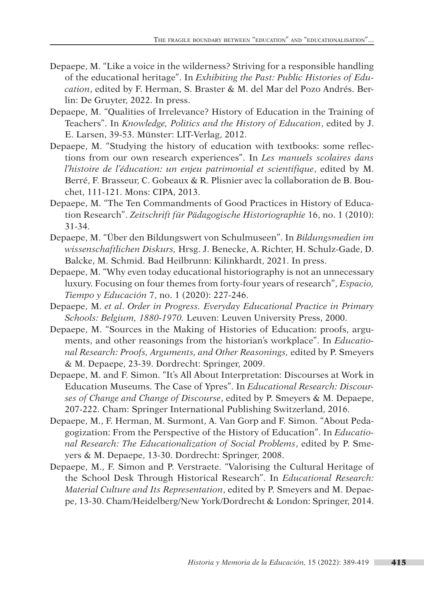- Depaepe, M. "Like a voice in the wilderness? Striving for a responsible handling of the educational heritage". In *Exhibiting the Past: Public Histories of Education*, edited by F. Herman, S. Braster & M. del Mar del Pozo Andrés. Berlin: De Gruyter, 2022. In press.
- Depaepe, M. "Qualities of Irrelevance? History of Education in the Training of Teachers". In *Knowledge, Politics and the History of Education*, edited by J. E. Larsen, 39-53. Münster: LIT-Verlag, 2012.
- Depaepe, M. "Studying the history of education with textbooks: some reflections from our own research experiences". In *Les manuels scolaires dans l'histoire de l'éducation: un enjeu patrimonial et scientifique*, edited by M. Berré, F. Brasseur, C. Gobeaux & R. Plisnier avec la collaboration de B. Bouchet, 111-121. Mons: CIPA, 2013.
- Depaepe, M. "The Ten Commandments of Good Practices in History of Education Research". *Zeitschrift für Pädagogische Historiographie* 16, no. 1 (2010): 31-34.
- Depaepe, M. "Über den Bildungswert von Schulmuseen". In *Bildungsmedien im wissenschaftlichen Diskurs,* Hrsg. J. Benecke, A. Richter, H. Schulz-Gade, D. Balcke, M. Schmid. Bad Heilbrunn: Kilinkhardt, 2021. In press.
- Depaepe, M. "Why even today educational historiography is not an unnecessary luxury. Focusing on four themes from forty-four years of research", *Espacio, Tiempo y Educación* 7, no. 1 (2020): 227-246.
- Depaepe, M. *et al*. *Order in Progress. Everyday Educational Practice in Primary Schools: Belgium, 1880-1970.* Leuven: Leuven University Press, 2000.
- Depaepe, M. "Sources in the Making of Histories of Education: proofs, arguments, and other reasonings from the historian's workplace". In *Educational Research: Proofs, Arguments, and Other Reasonings,* edited by P. Smeyers & M. Depaepe, 23-39. Dordrecht: Springer, 2009.
- Depaepe, M. and F. Simon. "It's All About Interpretation: Discourses at Work in Education Museums. The Case of Ypres". In *Educational Research: Discourses of Change and Change of Discourse*, edited by P. Smeyers & M. Depaepe, 207-222. Cham: Springer International Publishing Switzerland, 2016.
- Depaepe, M., F. Herman, M. Surmont, A. Van Gorp and F. Simon. "About Pedagogization: From the Perspective of the History of Education". In *Educational Research: The Educationalization of Social Problems*, edited by P. Smeyers & M. Depaepe, 13-30. Dordrecht: Springer, 2008.
- Depaepe, M., F. Simon and P. Verstraete. "Valorising the Cultural Heritage of the School Desk Through Historical Research". In *Educational Research: Material Culture and Its Representation*, edited by P. Smeyers and M. Depaepe, 13-30. Cham/Heidelberg/New York/Dordrecht & London: Springer, 2014.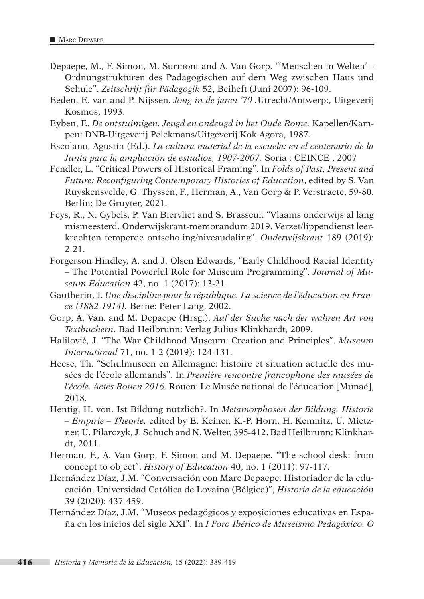- Depaepe, M., F. Simon, M. Surmont and A. Van Gorp. "'Menschen in Welten' Ordnungstrukturen des Pädagogischen auf dem Weg zwischen Haus und Schule". *Zeitschrift für Pädagogik* 52, Beiheft (Juni 2007): 96-109.
- Eeden, E. van and P. Nijssen. *Jong in de jaren '70 .*Utrecht/Antwerp:, Uitgeverij Kosmos, 1993.
- Eyben, E. *De ontstuimigen. Jeugd en ondeugd in het Oude Rome.* Kapellen/Kampen: DNB-Uitgeverij Pelckmans/Uitgeverij Kok Agora, 1987.
- Escolano, Agustín (Ed.). *La cultura material de la escuela: en el centenario de la Junta para la ampliación de estudios, 1907-2007.* Soria : CEINCE , 2007
- Fendler, L. "Critical Powers of Historical Framing". In *Folds of Past, Present and Future: Reconfiguring Contemporary Histories of Education*, edited by S. Van Ruyskensvelde, G. Thyssen, F., Herman, A., Van Gorp & P. Verstraete, 59-80. Berlin: De Gruyter, 2021.
- Feys, R., N. Gybels, P. Van Biervliet and S. Brasseur. "Vlaams onderwijs al lang mismeesterd. Onderwijskrant-memorandum 2019. Verzet/lippendienst leerkrachten temperde ontscholing/niveaudaling". *Onderwijskrant* 189 (2019): 2-21.
- Forgerson Hindley, A. and J. Olsen Edwards, "Early Childhood Racial Identity – The Potential Powerful Role for Museum Programming". *Journal of Museum Education* 42, no. 1 (2017): 13-21.
- Gautherin, J. *Une discipline pour la république. La science de l'éducation en France (1882-1914).* Berne: Peter Lang, 2002.
- Gorp, A. Van. and M. Depaepe (Hrsg.). *Auf der Suche nach der wahren Art von Textbüchern*. Bad Heilbrunn: Verlag Julius Klinkhardt, 2009.
- Halilović, J. "The War Childhood Museum: Creation and Principles". *Museum International* 71, no. 1-2 (2019): 124-131.
- Heese, Th. "Schulmuseen en Allemagne: histoire et situation actuelle des musées de l'école allemands". In *Première rencontre francophone des musées de l'école. Actes Rouen 2016*. Rouen: Le Musée national de l'éducation [Munaé], 2018.
- Hentig, H. von. Ist Bildung nützlich?. In *Metamorphosen der Bildung. Historie – Empirie – Theorie,* edited by E. Keiner, K.-P. Horn, H. Kemnitz, U. Mietzner, U. Pilarczyk, J. Schuch and N. Welter, 395-412. Bad Heilbrunn: Klinkhardt, 2011.
- Herman, F., A. Van Gorp, F. Simon and M. Depaepe. "The school desk: from concept to object". *History of Education* 40, no. 1 (2011): 97-117.
- Hernández Díaz, J.M. "Conversación con Marc Depaepe. Historiador de la educación, Universidad Católica de Lovaina (Bélgica)", *Historia de la educación*  39 (2020): 437-459.
- Hernández Díaz, J.M. "Museos pedagógicos y exposiciones educativas en España en los inicios del siglo XXI". In *I Foro Ibérico de Museísmo Pedagóxico. O*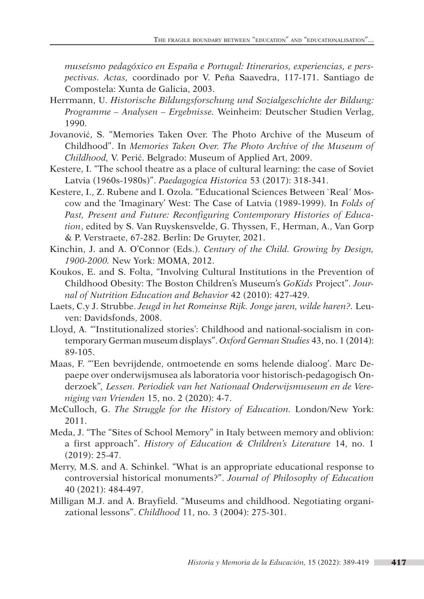*museísmo pedagóxico en España e Portugal: Itinerarios, experiencias, e perspectivas. Actas,* coordinado por V. Peña Saavedra, 117-171. Santiago de Compostela: Xunta de Galicia, 2003.

- Herrmann, U. *Historische Bildungsforschung und Sozialgeschichte der Bildung: Programme – Analysen – Ergebnisse.* Weinheim: Deutscher Studien Verlag, 1990.
- Jovanović, S. "Memories Taken Over. The Photo Archive of the Museum of Childhood". In *Memories Taken Over. The Photo Archive of the Museum of Childhood,* V. Perić. Belgrado: Museum of Applied Art, 2009.
- Kestere, I. "The school theatre as a place of cultural learning: the case of Soviet Latvia (1960s-1980s)". *Paedagogica Historica* 53 (2017): 318-341.
- Kestere, I., Z. Rubene and I. Ozola. "Educational Sciences Between `Real´ Moscow and the 'Imaginary' West: The Case of Latvia (1989-1999). In *Folds of Past, Present and Future: Reconfiguring Contemporary Histories of Education*, edited by S. Van Ruyskensvelde, G. Thyssen, F., Herman, A., Van Gorp & P. Verstraete, 67-282. Berlin: De Gruyter, 2021.
- Kinchin, J. and A. O'Connor (Eds.). *Century of the Child. Growing by Design, 1900-2000.* New York: MOMA, 2012.
- Koukos, E. and S. Folta, "Involving Cultural Institutions in the Prevention of Childhood Obesity: The Boston Children's Museum's *GoKids* Project". *Journal of Nutrition Education and Behavior* 42 (2010): 427-429.
- Laets, C.y J. Strubbe. *Jeugd in het Romeinse Rijk. Jonge jaren, wilde haren?.* Leuven: Davidsfonds, 2008.
- Lloyd, A. "'Institutionalized stories': Childhood and national-socialism in contemporary German museum displays". *Oxford German Studies* 43, no. 1 (2014): 89-105.
- Maas, F. "'Een bevrijdende, ontmoetende en soms helende dialoog'. Marc Depaepe over onderwijsmusea als laboratoria voor historisch-pedagogisch Onderzoek"*, Lessen. Periodiek van het Nationaal Onderwijsmuseum en de Vereniging van Vrienden* 15, no. 2 (2020): 4-7.
- McCulloch, G. *The Struggle for the History of Education.* London/New York: 2011.
- Meda, J. "The "Sites of School Memory" in Italy between memory and oblivion: a first approach". *History of Education & Children's Literature* 14, no. 1 (2019): 25-47.
- Merry, M.S. and A. Schinkel. "What is an appropriate educational response to controversial historical monuments?". *Journal of Philosophy of Education* 40 (2021): 484-497.
- Milligan M.J. and A. Brayfield. "Museums and childhood. Negotiating organizational lessons". *Childhood* 11, no. 3 (2004): 275-301.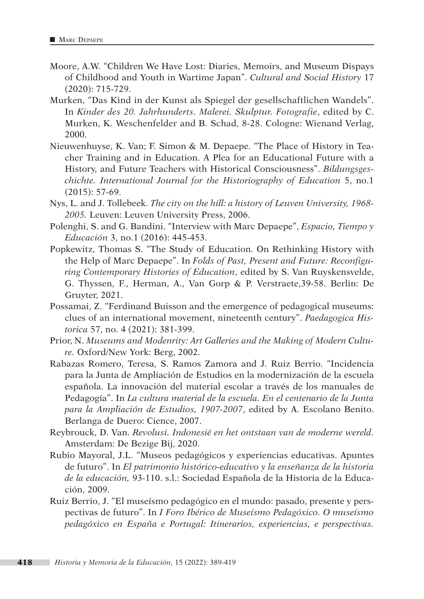- Moore, A.W. "Children We Have Lost: Diaries, Memoirs, and Museum Dispays of Childhood and Youth in Wartime Japan". *Cultural and Social History* 17 (2020): 715-729.
- Murken, "Das Kind in der Kunst als Spiegel der gesellschaftlichen Wandels". In *Kinder des 20. Jahrhunderts. Malerei. Skulptur. Fotografie*, edited by C. Murken, K. Weschenfelder and B. Schad, 8-28. Cologne: Wienand Verlag, 2000.
- Nieuwenhuyse, K. Van; F. Simon & M. Depaepe. "The Place of History in Teacher Training and in Education. A Plea for an Educational Future with a History, and Future Teachers with Historical Consciousness". *Bildungsgeschichte. International Journal for the Historiography of Education* 5, no.1 (2015): 57-69.
- Nys, L. and J. Tollebeek. *The city on the hill: a history of Leuven University, 1968- 2005.* Leuven: Leuven University Press, 2006.
- Polenghi, S. and G. Bandini. "Interview with Marc Depaepe", *Espacio, Tiempo y Educación* 3, no.1 (2016): 445-453.
- Popkewitz, Thomas S. "The Study of Education. On Rethinking History with the Help of Marc Depaepe". In *Folds of Past, Present and Future: Reconfiguring Contemporary Histories of Education*, edited by S. Van Ruyskensvelde, G. Thyssen, F., Herman, A., Van Gorp & P. Verstraete,39-58. Berlin: De Gruyter, 2021.
- Possamai, Z. "Ferdinand Buisson and the emergence of pedagogical museums: clues of an international movement, nineteenth century". *Paedagogica Historica* 57, no. 4 (2021): 381-399.
- Prior, N. *Museums and Modenrity: Art Galleries and the Making of Modern Culture.* Oxford/New York: Berg, 2002.
- Rabazas Romero, Teresa, S. Ramos Zamora and J. Ruiz Berrio. "Incidencia para la Junta de Ampliación de Estudios en la modernización de la escuela española. La innovación del material escolar a través de los manuales de Pedagogía". In *La cultura material de la escuela. En el centenario de la Junta para la Ampliación de Estudios, 1907-2007*, edited by A. Escolano Benito. Berlanga de Duero: Cience, 2007.
- Reybrouck, D. Van. *Revolusi. Indonesië en het ontstaan van de moderne wereld.*  Amsterdam: De Bezige Bij, 2020.
- Rubio Mayoral, J.L. "Museos pedagógicos y experiencias educativas. Apuntes de futuro". In *El patrimonio histórico-educativo y la enseñanza de la historia de la educación,* 93-110. s.l.: Sociedad Española de la Historia de la Educación, 2009.
- Ruiz Berrio, J. "El museísmo pedagógico en el mundo: pasado, presente y perspectivas de futuro". In *I Foro Ibérico de Museísmo Pedagóxico. O museísmo pedagóxico en España e Portugal: Itinerarios, experiencias, e perspectivas.*